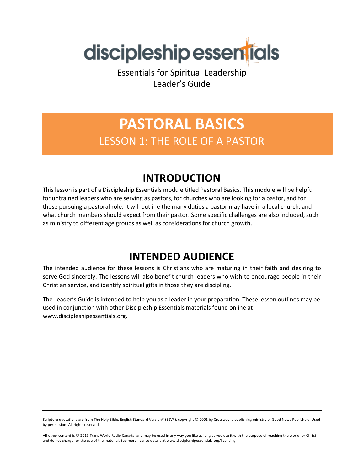

Essentials for Spiritual Leadership Leader's Guide

# **PASTORAL BASICS** LESSON 1: THE ROLE OF A PASTOR

# **INTRODUCTION**

This lesson is part of a Discipleship Essentials module titled Pastoral Basics. This module will be helpful for untrained leaders who are serving as pastors, for churches who are looking for a pastor, and for those pursuing a pastoral role. It will outline the many duties a pastor may have in a local church, and what church members should expect from their pastor. Some specific challenges are also included, such as ministry to different age groups as well as considerations for church growth.

# **INTENDED AUDIENCE**

The intended audience for these lessons is Christians who are maturing in their faith and desiring to serve God sincerely. The lessons will also benefit church leaders who wish to encourage people in their Christian service, and identify spiritual gifts in those they are discipling.

The Leader's Guide is intended to help you as a leader in your preparation. These lesson outlines may be used in conjunction with other Discipleship Essentials materials found online at www.discipleshipessentials.org.

Scripture quotations are from The Holy Bible, English Standard Version® (ESV®), copyright © 2001 by Crossway, a publishing ministry of Good News Publishers. Used by permission. All rights reserved.

All other content is © 2019 Trans World Radio Canada, and may be used in any way you like as long as you use it with the purpose of reaching the world for Christ and do not charge for the use of the material. See more license details at www.discipleshipessentials.org/licensing.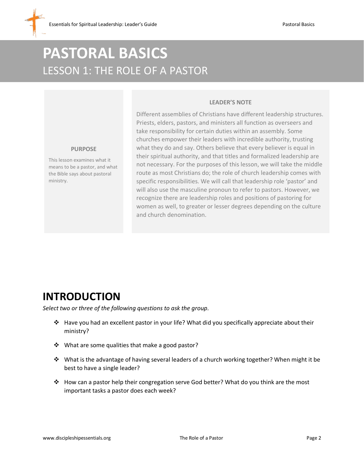# **PASTORAL BASICS** LESSON 1: THE ROLE OF A PASTOR

### **LEADER'S NOTE**

Different assemblies of Christians have different leadership structures. Priests, elders, pastors, and ministers all function as overseers and take responsibility for certain duties within an assembly. Some churches empower their leaders with incredible authority, trusting what they do and say. Others believe that every believer is equal in their spiritual authority, and that titles and formalized leadership are not necessary. For the purposes of this lesson, we will take the middle route as most Christians do; the role of church leadership comes with specific responsibilities. We will call that leadership role 'pastor' and will also use the masculine pronoun to refer to pastors. However, we recognize there are leadership roles and positions of pastoring for women as well, to greater or lesser degrees depending on the culture and church denomination.

#### **PURPOSE**

This lesson examines what it means to be a pastor, and what the Bible says about pastoral ministry.

## **INTRODUCTION**

*Select two or three of the following questions to ask the group.*

- ❖ Have you had an excellent pastor in your life? What did you specifically appreciate about their ministry?
- ❖ What are some qualities that make a good pastor?
- ❖ What is the advantage of having several leaders of a church working together? When might it be best to have a single leader?
- ❖ How can a pastor help their congregation serve God better? What do you think are the most important tasks a pastor does each week?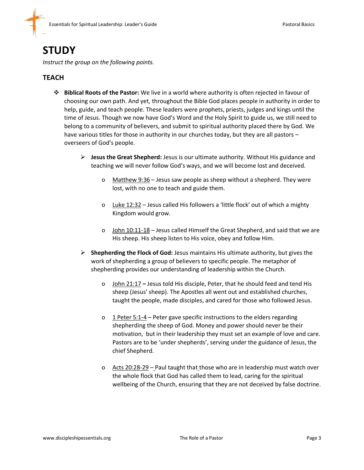## **STUDY**

*Instruct the group on the following points.*

## **TEACH**

- ❖ **Biblical Roots of the Pastor:** We live in a world where authority is often rejected in favour of choosing our own path. And yet, throughout the Bible God places people in authority in order to help, guide, and teach people. These leaders were prophets, priests, judges and kings until the time of Jesus. Though we now have God's Word and the Holy Spirit to guide us, we still need to belong to a community of believers, and submit to spiritual authority placed there by God. We have various titles for those in authority in our churches today, but they are all pastors overseers of God's people.
	- ➢ **Jesus the Great Shepherd:** Jesus is our ultimate authority. Without His guidance and teaching we will never follow God's ways, and we will become lost and deceived.
		- o Matthew 9:36 Jesus saw people as sheep without a shepherd. They were lost, with no one to teach and guide them.
		- o Luke 12:32 Jesus called His followers a 'little flock' out of which a mighty Kingdom would grow.
		- o John 10:11-18 Jesus called Himself the Great Shepherd, and said that we are His sheep. His sheep listen to His voice, obey and follow Him.
	- ➢ **Shepherding the Flock of God:** Jesus maintains His ultimate authority, but gives the work of shepherding a group of believers to specific people. The metaphor of shepherding provides our understanding of leadership within the Church.
		- o John 21:17 **–** Jesus told His disciple, Peter, that he should feed and tend His sheep (Jesus' sheep). The Apostles all went out and established churches, taught the people, made disciples, and cared for those who followed Jesus.
		- o 1 Peter 5:1-4 Peter gave specific instructions to the elders regarding shepherding the sheep of God. Money and power should never be their motivation, but in their leadership they must set an example of love and care. Pastors are to be 'under shepherds', serving under the guidance of Jesus, the chief Shepherd.
		- o Acts 20:28-29 Paul taught that those who are in leadership must watch over the whole flock that God has called them to lead, caring for the spiritual wellbeing of the Church, ensuring that they are not deceived by false doctrine.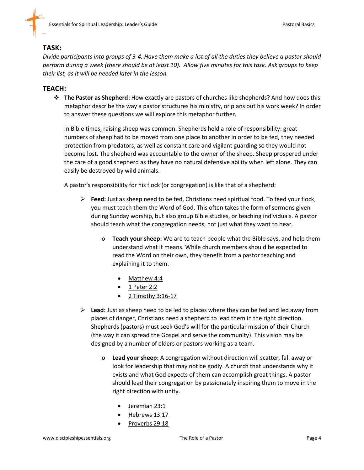### **TASK:**

*Divide participants into groups of 3-4. Have them make a list of all the duties they believe a pastor should perform during a week (there should be at least 10). Allow five minutes for this task. Ask groups to keep their list, as it will be needed later in the lesson.* 

#### **TEACH:**

❖ **The Pastor as Shepherd:** How exactly are pastors of churches like shepherds? And how does this metaphor describe the way a pastor structures his ministry, or plans out his work week? In order to answer these questions we will explore this metaphor further.

In Bible times, raising sheep was common. Shepherds held a role of responsibility: great numbers of sheep had to be moved from one place to another in order to be fed, they needed protection from predators, as well as constant care and vigilant guarding so they would not become lost. The shepherd was accountable to the owner of the sheep. Sheep prospered under the care of a good shepherd as they have no natural defensive ability when left alone. They can easily be destroyed by wild animals.

A pastor's responsibility for his flock (or congregation) is like that of a shepherd:

- ➢ **Feed:** Just as sheep need to be fed, Christians need spiritual food. To feed your flock, you must teach them the Word of God. This often takes the form of sermons given during Sunday worship, but also group Bible studies, or teaching individuals. A pastor should teach what the congregation needs, not just what they want to hear.
	- o **Teach your sheep:** We are to teach people what the Bible says, and help them understand what it means. While church members should be expected to read the Word on their own, they benefit from a pastor teaching and explaining it to them.
		- Matthew 4:4
		- 1 Peter 2:2
		- 2 Timothy 3:16-17
- ➢ **Lead:** Just as sheep need to be led to places where they can be fed and led away from places of danger, Christians need a shepherd to lead them in the right direction. Shepherds (pastors) must seek God's will for the particular mission of their Church (the way it can spread the Gospel and serve the community). This vision may be designed by a number of elders or pastors working as a team.
	- o **Lead your sheep:** A congregation without direction will scatter, fall away or look for leadership that may not be godly. A church that understands why it exists and what God expects of them can accomplish great things. A pastor should lead their congregation by passionately inspiring them to move in the right direction with unity.
		- Jeremiah 23:1
		- Hebrews 13:17
		- Proverbs 29:18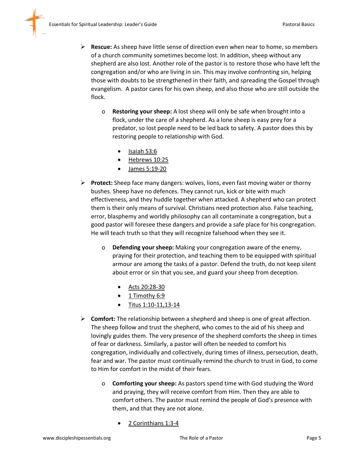

- o **Restoring your sheep:** A lost sheep will only be safe when brought into a flock, under the care of a shepherd. As a lone sheep is easy prey for a predator, so lost people need to be led back to safety. A pastor does this by restoring people to relationship with God.
	- Isaiah 53:6
	- Hebrews 10:25
	- James 5:19-20
- ➢ **Protect:** Sheep face many dangers: wolves, lions, even fast moving water or thorny bushes. Sheep have no defences. They cannot run, kick or bite with much effectiveness, and they huddle together when attacked. A shepherd who can protect them is their only means of survival. Christians need protection also. False teaching, error, blasphemy and worldly philosophy can all contaminate a congregation, but a good pastor will foresee these dangers and provide a safe place for his congregation. He will teach truth so that they will recognize falsehood when they see it.
	- o **Defending your sheep:** Making your congregation aware of the enemy, praying for their protection, and teaching them to be equipped with spiritual armour are among the tasks of a pastor. Defend the truth, do not keep silent about error or sin that you see, and guard your sheep from deception.
		- Acts 20:28-30
		- 1 Timothy 6:9
		- Titus 1:10-11,13-14
- ➢ **Comfort:** The relationship between a shepherd and sheep is one of great affection. The sheep follow and trust the shepherd, who comes to the aid of his sheep and lovingly guides them. The very presence of the shepherd comforts the sheep in times of fear or darkness. Similarly, a pastor will often be needed to comfort his congregation, individually and collectively, during times of illness, persecution, death, fear and war. The pastor must continually remind the church to trust in God, to come to Him for comfort in the midst of their fears.
	- o **Comforting your sheep:** As pastors spend time with God studying the Word and praying, they will receive comfort from Him. Then they are able to comfort others. The pastor must remind the people of God's presence with them, and that they are not alone.
		- 2 Corinthians 1:3-4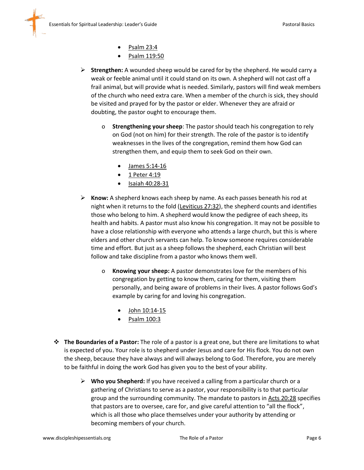- Psalm 23:4
- Psalm 119:50
- ➢ **Strengthen:** A wounded sheep would be cared for by the shepherd. He would carry a weak or feeble animal until it could stand on its own. A shepherd will not cast off a frail animal, but will provide what is needed. Similarly, pastors will find weak members of the church who need extra care. When a member of the church is sick, they should be visited and prayed for by the pastor or elder. Whenever they are afraid or doubting, the pastor ought to encourage them.
	- o **Strengthening your sheep**: The pastor should teach his congregation to rely on God (not on him) for their strength. The role of the pastor is to identify weaknesses in the lives of the congregation, remind them how God can strengthen them, and equip them to seek God on their own.
		- James 5:14-16
		- 1 Peter 4:19
		- Isaiah 40:28-31
- ➢ **Know:** A shepherd knows each sheep by name. As each passes beneath his rod at night when it returns to the fold (Leviticus 27:32), the shepherd counts and identifies those who belong to him. A shepherd would know the pedigree of each sheep, its health and habits. A pastor must also know his congregation. It may not be possible to have a close relationship with everyone who attends a large church, but this is where elders and other church servants can help. To know someone requires considerable time and effort. But just as a sheep follows the shepherd, each Christian will best follow and take discipline from a pastor who knows them well.
	- o **Knowing your sheep:** A pastor demonstrates love for the members of his congregation by getting to know them, caring for them, visiting them personally, and being aware of problems in their lives. A pastor follows God's example by caring for and loving his congregation.
		- John 10:14-15
		- Psalm 100:3
- ❖ **The Boundaries of a Pastor:** The role of a pastor is a great one, but there are limitations to what is expected of you. Your role is to shepherd under Jesus and care for His flock. You do not own the sheep, because they have always and will always belong to God. Therefore, you are merely to be faithful in doing the work God has given you to the best of your ability.
	- ➢ **Who you Shepherd:** If you have received a calling from a particular church or a gathering of Christians to serve as a pastor, your responsibility is to that particular group and the surrounding community. The mandate to pastors in Acts 20:28 specifies that pastors are to oversee, care for, and give careful attention to "all the flock", which is all those who place themselves under your authority by attending or becoming members of your church.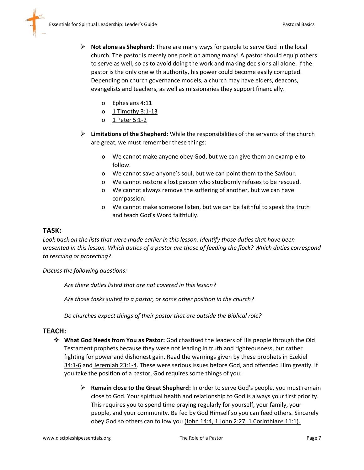- ➢ **Not alone as Shepherd:** There are many ways for people to serve God in the local church. The pastor is merely one position among many! A pastor should equip others to serve as well, so as to avoid doing the work and making decisions all alone. If the pastor is the only one with authority, his power could become easily corrupted. Depending on church governance models, a church may have elders, deacons, evangelists and teachers, as well as missionaries they support financially.
	- o Ephesians 4:11
	- o 1 Timothy 3:1-13
	- o 1 Peter 5:1-2
- ➢ **Limitations of the Shepherd:** While the responsibilities of the servants of the church are great, we must remember these things:
	- o We cannot make anyone obey God, but we can give them an example to follow.
	- o We cannot save anyone's soul, but we can point them to the Saviour.
	- o We cannot restore a lost person who stubbornly refuses to be rescued.
	- o We cannot always remove the suffering of another, but we can have compassion.
	- o We cannot make someone listen, but we can be faithful to speak the truth and teach God's Word faithfully.

#### **TASK:**

*Look back on the lists that were made earlier in this lesson. Identify those duties that have been presented in this lesson. Which duties of a pastor are those of feeding the flock? Which duties correspond to rescuing or protecting?* 

*Discuss the following questions:*

*Are there duties listed that are not covered in this lesson?*

*Are those tasks suited to a pastor, or some other position in the church?* 

*Do churches expect things of their pastor that are outside the Biblical role?* 

#### **TEACH:**

- ❖ **What God Needs from You as Pastor:** God chastised the leaders of His people through the Old Testament prophets because they were not leading in truth and righteousness, but rather fighting for power and dishonest gain. Read the warnings given by these prophets in **Ezekiel** 34:1-6 and Jeremiah 23:1-4. These were serious issues before God, and offended Him greatly. If you take the position of a pastor, God requires some things of you:
	- ➢ **Remain close to the Great Shepherd:** In order to serve God's people, you must remain close to God. Your spiritual health and relationship to God is always your first priority. This requires you to spend time praying regularly for yourself, your family, your people, and your community. Be fed by God Himself so you can feed others. Sincerely obey God so others can follow you (John 14:4, 1 John 2:27, 1 Corinthians 11:1).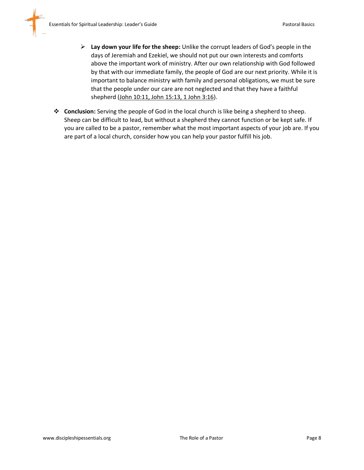- ➢ **Lay down your life for the sheep:** Unlike the corrupt leaders of God's people in the days of Jeremiah and Ezekiel, we should not put our own interests and comforts above the important work of ministry. After our own relationship with God followed by that with our immediate family, the people of God are our next priority. While it is important to balance ministry with family and personal obligations, we must be sure that the people under our care are not neglected and that they have a faithful shepherd (John 10:11, John 15:13, 1 John 3:16).
- ❖ **Conclusion:** Serving the people of God in the local church is like being a shepherd to sheep. Sheep can be difficult to lead, but without a shepherd they cannot function or be kept safe. If you are called to be a pastor, remember what the most important aspects of your job are. If you are part of a local church, consider how you can help your pastor fulfill his job.